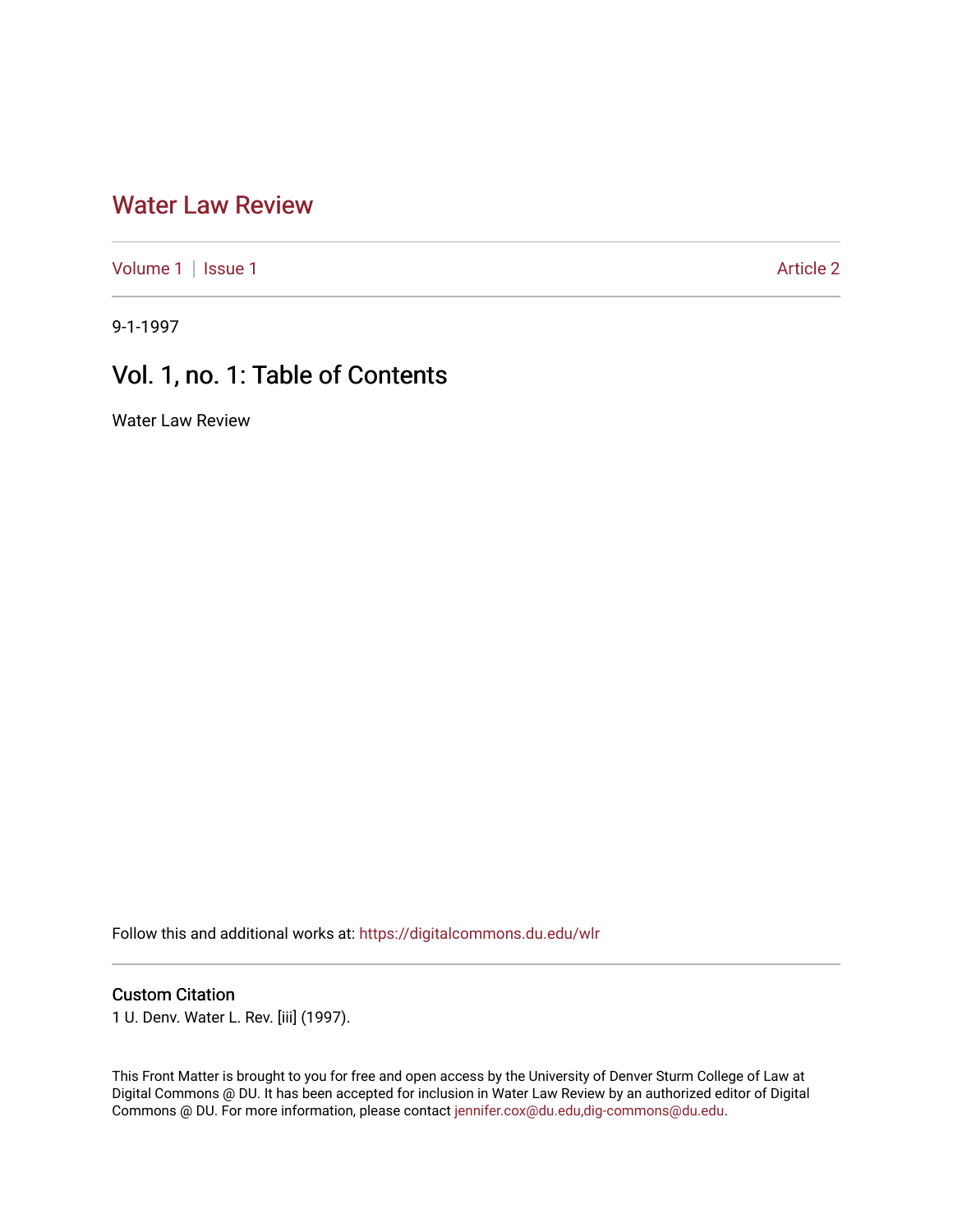### [Water Law Review](https://digitalcommons.du.edu/wlr)

[Volume 1](https://digitalcommons.du.edu/wlr/vol1) | [Issue 1](https://digitalcommons.du.edu/wlr/vol1/iss1) Article 2

9-1-1997

## Vol. 1, no. 1: Table of Contents

Water Law Review

Follow this and additional works at: [https://digitalcommons.du.edu/wlr](https://digitalcommons.du.edu/wlr?utm_source=digitalcommons.du.edu%2Fwlr%2Fvol1%2Fiss1%2F2&utm_medium=PDF&utm_campaign=PDFCoverPages) 

#### Custom Citation

1 U. Denv. Water L. Rev. [iii] (1997).

This Front Matter is brought to you for free and open access by the University of Denver Sturm College of Law at Digital Commons @ DU. It has been accepted for inclusion in Water Law Review by an authorized editor of Digital Commons @ DU. For more information, please contact [jennifer.cox@du.edu,dig-commons@du.edu.](mailto:jennifer.cox@du.edu,dig-commons@du.edu)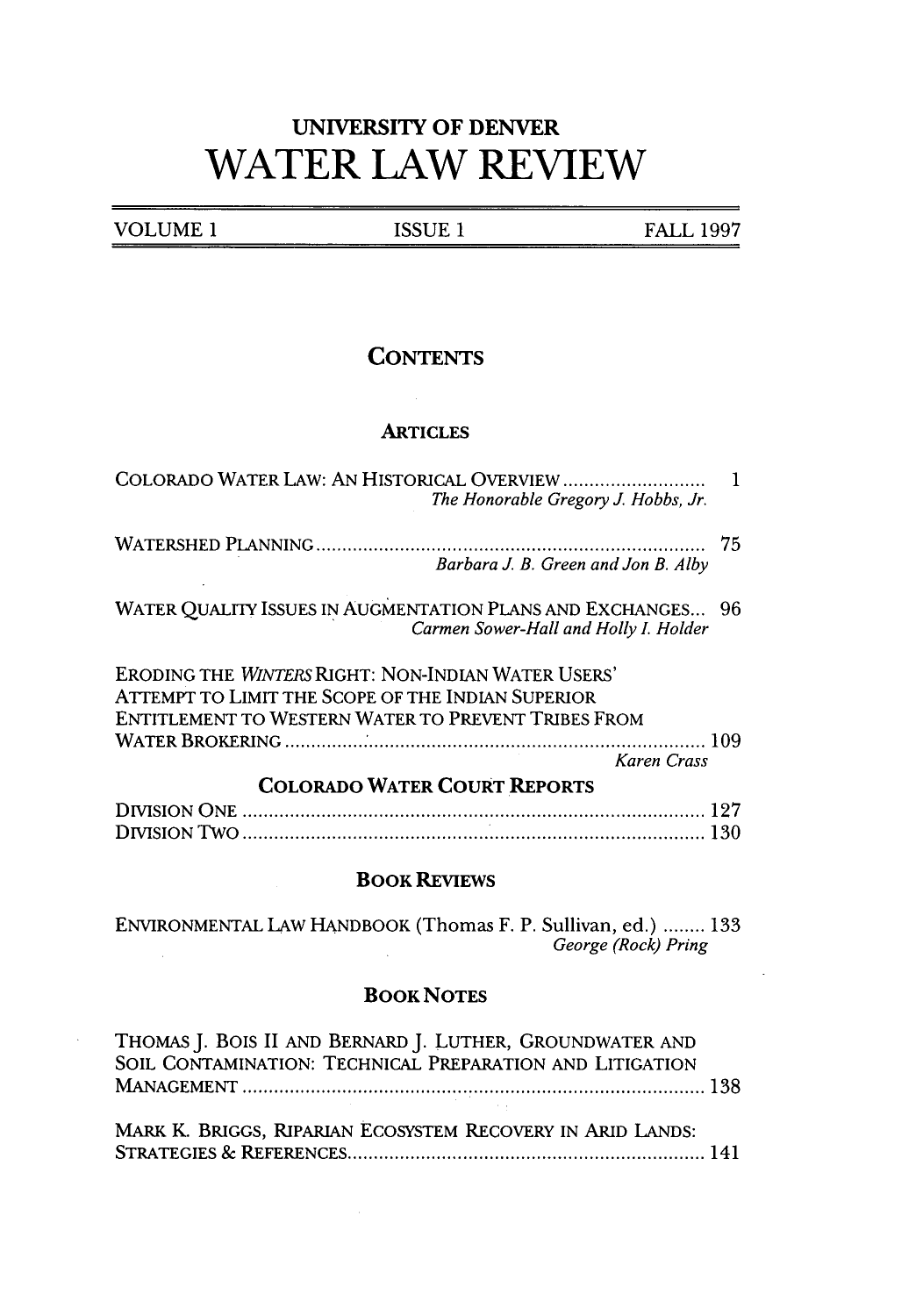# **UNIVERSITY OF DENVER WATER LAW REVIEW**

| VOLUME 1 | 'CCTIL'<br>н | 190 <sup>6</sup><br>FA I |
|----------|--------------|--------------------------|
| ------   | ______<br>-- | $\overline{\phantom{a}}$ |

### **CONTENTS**

#### **ARTICLES**

| The Honorable Gregory J. Hobbs, Jr.                                                                                                                                           |
|-------------------------------------------------------------------------------------------------------------------------------------------------------------------------------|
| 75<br>Barbara J. B. Green and Jon B. Alby                                                                                                                                     |
| WATER QUALITY ISSUES IN AUGMENTATION PLANS AND EXCHANGES 96<br>Carmen Sower-Hall and Holly I. Holder                                                                          |
| ERODING THE WINTERS RIGHT: NON-INDIAN WATER USERS'<br>ATTEMPT TO LIMIT THE SCOPE OF THE INDIAN SUPERIOR<br>ENTITLEMENT TO WESTERN WATER TO PREVENT TRIBES FROM<br>Karen Crass |
| <b>COLORADO WATER COURT REPORTS</b>                                                                                                                                           |
|                                                                                                                                                                               |
| <b>BOOK REVIEWS</b>                                                                                                                                                           |
| ENVIRONMENTAL LAW HANDBOOK (Thomas F. P. Sullivan, ed.)  133<br>George (Rock) Pring                                                                                           |

#### **BOOK NOTES**

 $\mathcal{L}^{\text{max}}_{\text{max}}$  and  $\mathcal{L}^{\text{max}}_{\text{max}}$ 

 $\bar{z}$ 

| THOMAS J. BOIS II AND BERNARD J. LUTHER, GROUNDWATER AND<br>SOIL CONTAMINATION: TECHNICAL PREPARATION AND LITIGATION |  |
|----------------------------------------------------------------------------------------------------------------------|--|
|                                                                                                                      |  |
|                                                                                                                      |  |
| MARK K. BRIGGS, RIPARIAN ECOSYSTEM RECOVERY IN ARID LANDS:                                                           |  |
|                                                                                                                      |  |